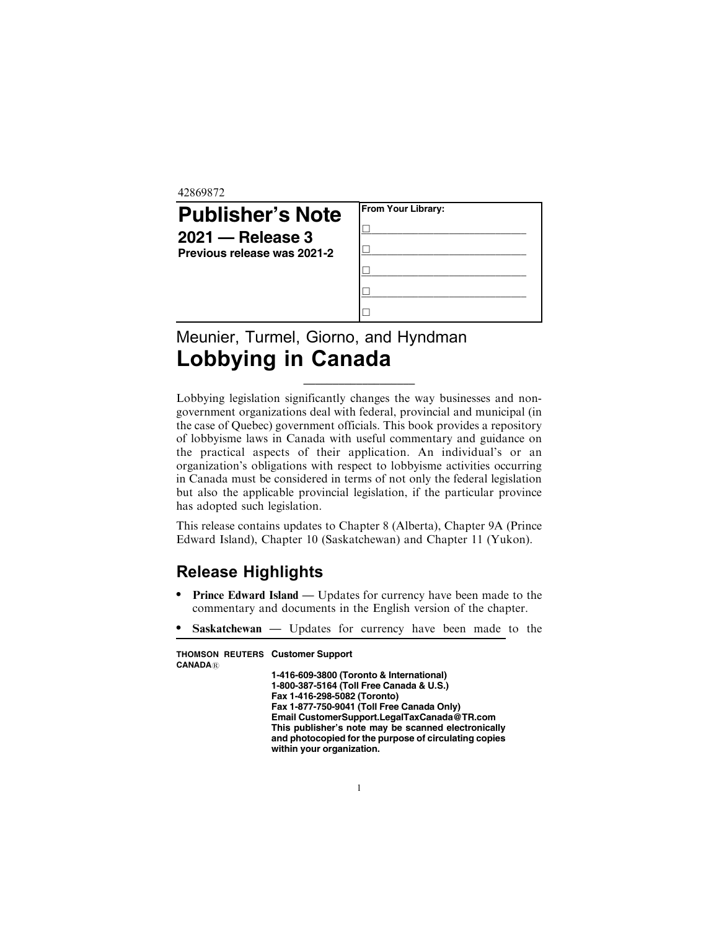42869872

| <b>Publisher's Note</b><br>$2021 -$ Release 3<br>Previous release was 2021-2 | From Your Library: |
|------------------------------------------------------------------------------|--------------------|
|                                                                              |                    |

## Meunier, Turmel, Giorno, and Hyndman Lobbying in Canada

Lobbying legislation significantly changes the way businesses and nongovernment organizations deal with federal, provincial and municipal (in the case of Quebec) government officials. This book provides a repository of lobbyisme laws in Canada with useful commentary and guidance on the practical aspects of their application. An individual's or an organization's obligations with respect to lobbyisme activities occurring in Canada must be considered in terms of not only the federal legislation but also the applicable provincial legislation, if the particular province has adopted such legislation.

\_\_\_\_\_\_\_\_\_\_\_\_\_\_\_\_\_\_\_

This release contains updates to Chapter 8 (Alberta), Chapter 9A (Prince Edward Island), Chapter 10 (Saskatchewan) and Chapter 11 (Yukon).

## Release Highlights

- . Prince Edward Island Updates for currency have been made to the commentary and documents in the English version of the chapter.
- . Saskatchewan Updates for currency have been made to the

| <b>THOMSON REUTERS Customer Support</b>                                                                                                   |
|-------------------------------------------------------------------------------------------------------------------------------------------|
| 1-416-609-3800 (Toronto & International)                                                                                                  |
| 1-800-387-5164 (Toll Free Canada & U.S.)                                                                                                  |
| Fax 1-416-298-5082 (Toronto)                                                                                                              |
| Fax 1-877-750-9041 (Toll Free Canada Only)                                                                                                |
| Email CustomerSupport.LegalTaxCanada@TR.com                                                                                               |
| This publisher's note may be scanned electronically<br>and photocopied for the purpose of circulating copies<br>within your organization. |
|                                                                                                                                           |